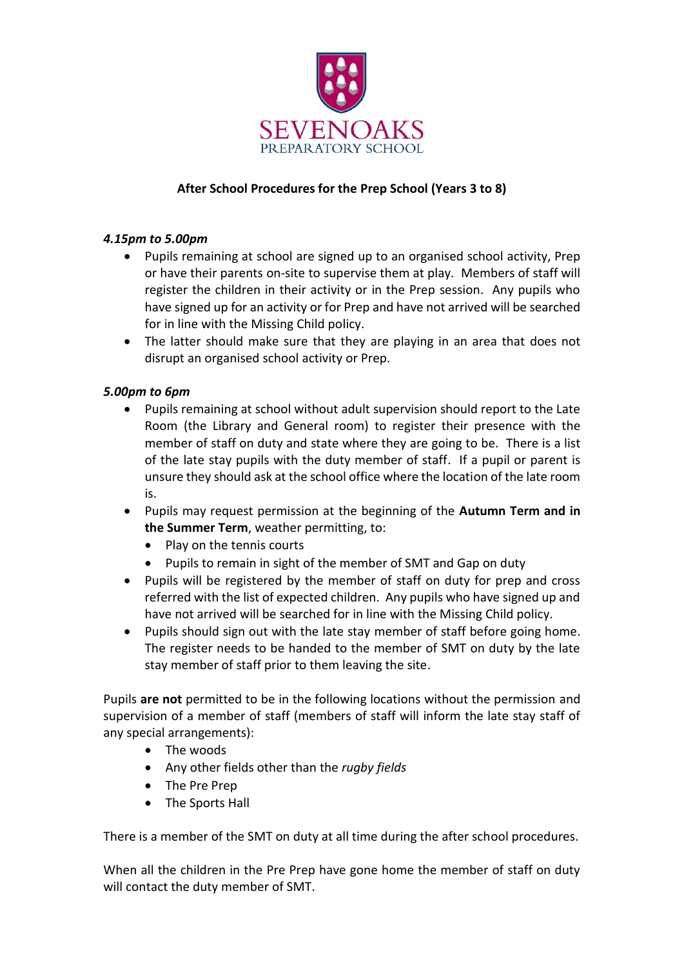

## **After School Procedures for the Prep School (Years 3 to 8)**

## *4.15pm to 5.00pm*

- Pupils remaining at school are signed up to an organised school activity, Prep or have their parents on-site to supervise them at play. Members of staff will register the children in their activity or in the Prep session. Any pupils who have signed up for an activity or for Prep and have not arrived will be searched for in line with the Missing Child policy.
- The latter should make sure that they are playing in an area that does not disrupt an organised school activity or Prep.

## *5.00pm to 6pm*

- Pupils remaining at school without adult supervision should report to the Late Room (the Library and General room) to register their presence with the member of staff on duty and state where they are going to be. There is a list of the late stay pupils with the duty member of staff. If a pupil or parent is unsure they should ask at the school office where the location of the late room is.
- Pupils may request permission at the beginning of the **Autumn Term and in the Summer Term**, weather permitting, to:
	- Play on the tennis courts
	- Pupils to remain in sight of the member of SMT and Gap on duty
- Pupils will be registered by the member of staff on duty for prep and cross referred with the list of expected children. Any pupils who have signed up and have not arrived will be searched for in line with the Missing Child policy.
- Pupils should sign out with the late stay member of staff before going home. The register needs to be handed to the member of SMT on duty by the late stay member of staff prior to them leaving the site.

Pupils **are not** permitted to be in the following locations without the permission and supervision of a member of staff (members of staff will inform the late stay staff of any special arrangements):

- The woods
- Any other fields other than the *rugby fields*
- The Pre Prep
- The Sports Hall

There is a member of the SMT on duty at all time during the after school procedures.

When all the children in the Pre Prep have gone home the member of staff on duty will contact the duty member of SMT.